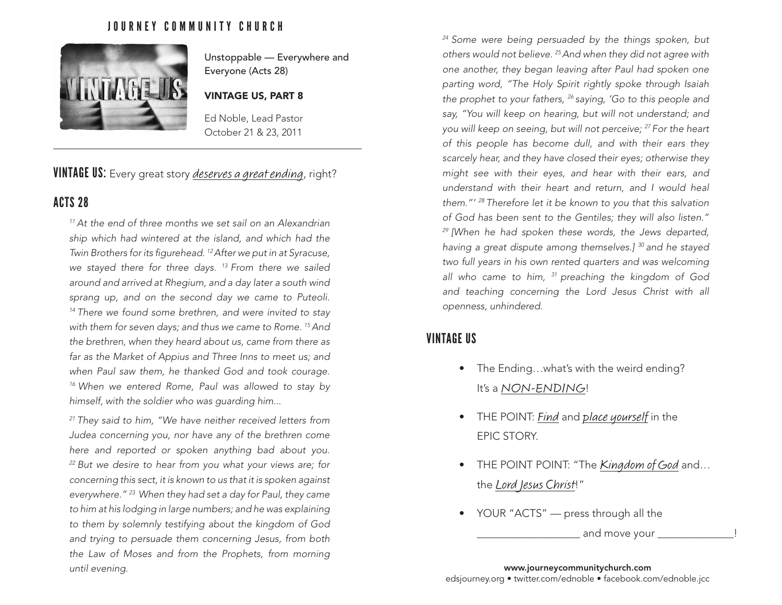# JOURNEY COMMUNITY CHURCH



Unstoppable — Everywhere and Everyone (Acts 28)

#### VINTAGE US, PART 8

Ed Noble, Lead Pastor October 21 & 23, 2011

# VINTAGE US: Every great story *deserves a great ending*, right?

# ACTS 28

*11 At the end of three months we set sail on an Alexandrian ship which had wintered at the island, and which had the Twin Brothers for its figurehead. 12 After we put in at Syracuse, we stayed there for three days. 13 From there we sailed around and arrived at Rhegium, and a day later a south wind sprang up, and on the second day we came to Puteoli. 14 There we found some brethren, and were invited to stay with them for seven days; and thus we came to Rome. 15 And the brethren, when they heard about us, came from there as far as the Market of Appius and Three Inns to meet us; and when Paul saw them, he thanked God and took courage. 16 When we entered Rome, Paul was allowed to stay by himself, with the soldier who was guarding him...* 

*21 They said to him, "We have neither received letters from Judea concerning you, nor have any of the brethren come here and reported or spoken anything bad about you. 22 But we desire to hear from you what your views are; for concerning this sect, it is known to us that it is spoken against everywhere." 23 When they had set a day for Paul, they came to him at his lodging in large numbers; and he was explaining to them by solemnly testifying about the kingdom of God and trying to persuade them concerning Jesus, from both the Law of Moses and from the Prophets, from morning until evening.* www.journeycommunitychurch.com

*24 Some were being persuaded by the things spoken, but others would not believe. 25 And when they did not agree with one another, they began leaving after Paul had spoken one parting word, "The Holy Spirit rightly spoke through Isaiah the prophet to your fathers, 26 saying, 'Go to this people and say, "You will keep on hearing, but will not understand; and you will keep on seeing, but will not perceive; 27 For the heart of this people has become dull, and with their ears they scarcely hear, and they have closed their eyes; otherwise they might see with their eyes, and hear with their ears, and understand with their heart and return, and I would heal them."' 28 Therefore let it be known to you that this salvation of God has been sent to the Gentiles; they will also listen." 29 [When he had spoken these words, the Jews departed, having a great dispute among themselves.] 30 and he stayed two full years in his own rented quarters and was welcoming all who came to him, 31 preaching the kingdom of God and teaching concerning the Lord Jesus Christ with all openness, unhindered.*

# VINTAGE US

- The Ending...what's with the weird ending? It's a NON-ENDING!
- THE POINT: Find and place yourself in the EPIC STORY.
- THE POINT POINT: "The Kingdom of God and... the Lord Jesus Christ!"
- YOUR "ACTS" press through all the

and move your